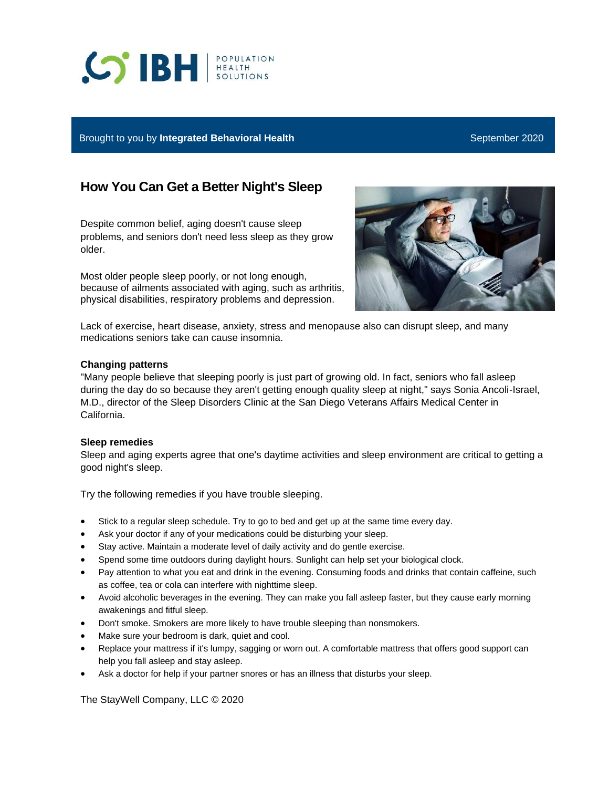# **SIBH REALTH**

## Brought to you by **Integrated Behavioral Health** September 2020

i<br>I

# **How You Can Get a Better Night's Sleep**

Despite common belief, aging doesn't cause sleep problems, and seniors don't need less sleep as they grow older.

Most older people sleep poorly, or not long enough, because of ailments associated with aging, such as arthritis, physical disabilities, respiratory problems and depression.



Lack of exercise, heart disease, anxiety, stress and menopause also can disrupt sleep, and many medications seniors take can cause insomnia.

### **Changing patterns**

"Many people believe that sleeping poorly is just part of growing old. In fact, seniors who fall asleep during the day do so because they aren't getting enough quality sleep at night," says Sonia Ancoli-Israel, M.D., director of the Sleep Disorders Clinic at the San Diego Veterans Affairs Medical Center in California.

#### **Sleep remedies**

Sleep and aging experts agree that one's daytime activities and sleep environment are critical to getting a good night's sleep.

Try the following remedies if you have trouble sleeping.

- Stick to a regular sleep schedule. Try to go to bed and get up at the same time every day.
- Ask your doctor if any of your medications could be disturbing your sleep.
- Stay active. Maintain a moderate level of daily activity and do gentle exercise.
- Spend some time outdoors during daylight hours. Sunlight can help set your biological clock.
- Pay attention to what you eat and drink in the evening. Consuming foods and drinks that contain caffeine, such as coffee, tea or cola can interfere with nighttime sleep.
- Avoid alcoholic beverages in the evening. They can make you fall asleep faster, but they cause early morning awakenings and fitful sleep.
- Don't smoke. Smokers are more likely to have trouble sleeping than nonsmokers.
- Make sure your bedroom is dark, quiet and cool.
- Replace your mattress if it's lumpy, sagging or worn out. A comfortable mattress that offers good support can help you fall asleep and stay asleep.
- Ask a doctor for help if your partner snores or has an illness that disturbs your sleep.

The StayWell Company, LLC © 2020